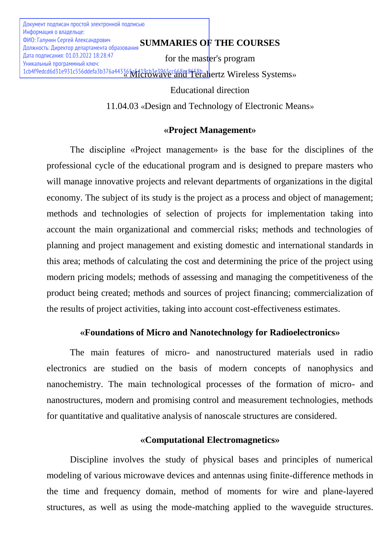**SUMMARIES OF THE COURSES** ФИО: Галунин Сергей Александрович for the master's program 1cb4f9edcd6d31e931c556ddefa3b376a443365a5419cb3e3965cc668ec8658babertz Wireless Systems» Educational direction Документ подписан простой электронной подписью Информация о владельце: Должность: Директор департамента образования Дата подписания: 01.03.2022 18:28:47 Уникальный программный ключ:

11.04.03 «Design and Technology of Electronic Means»

# **«Project Management»**

The discipline «Project management» is the base for the disciplines of the professional cycle of the educational program and is designed to prepare masters who will manage innovative projects and relevant departments of organizations in the digital economy. The subject of its study is the project as a process and object of management; methods and technologies of selection of projects for implementation taking into account the main organizational and commercial risks; methods and technologies of planning and project management and existing domestic and international standards in this area; methods of calculating the cost and determining the price of the project using modern pricing models; methods of assessing and managing the competitiveness of the product being created; methods and sources of project financing; commercialization of the results of project activities, taking into account cost-effectiveness estimates.

# **«Foundations of Micro and Nanotechnology for Radioelectronics»**

The main features of micro- and nanostructured materials used in radio electronics are studied on the basis of modern concepts of nanophysics and nanochemistry. The main technological processes of the formation of micro- and nanostructures, modern and promising control and measurement technologies, methods for quantitative and qualitative analysis of nanoscale structures are considered.

# **«Computational Electromagnetics»**

Discipline involves the study of physical bases and principles of numerical modeling of various microwave devices and antennas using finite-difference methods in the time and frequency domain, method of moments for wire and plane-layered structures, as well as using the mode-matching applied to the waveguide structures.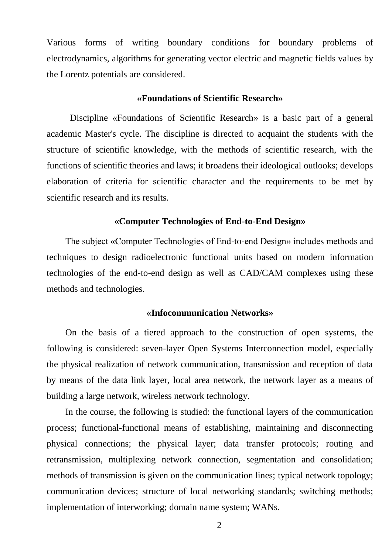Various forms of writing boundary conditions for boundary problems of electrodynamics, algorithms for generating vector electric and magnetic fields values by the Lorentz potentials are considered.

## **«Foundations of Scientific Research»**

Discipline «Foundations of Scientific Research» is a basic part of a general academic Master's cycle. The discipline is directed to acquaint the students with the structure of scientific knowledge, with the methods of scientific research, with the functions of scientific theories and laws; it broadens their ideological outlooks; develops elaboration of criteria for scientific character and the requirements to be met by scientific research and its results.

## **«Computer Technologies of End-to-End Design»**

The subject «Computer Technologies of End-to-end Design» includes methods and techniques to design radioelectronic functional units based on modern information technologies of the end-to-end design as well as CAD/CAM complexes using these methods and technologies.

### **«Infocommunication Networks»**

On the basis of a tiered approach to the construction of open systems, the following is considered: seven-layer Open Systems Interconnection model, especially the physical realization of network communication, transmission and reception of data by means of the data link layer, local area network, the network layer as a means of building a large network, wireless network technology.

In the course, the following is studied: the functional layers of the communication process; functional-functional means of establishing, maintaining and disconnecting physical connections; the physical layer; data transfer protocols; routing and retransmission, multiplexing network connection, segmentation and consolidation; methods of transmission is given on the communication lines; typical network topology; communication devices; structure of local networking standards; switching methods; implementation of interworking; domain name system; WANs.

2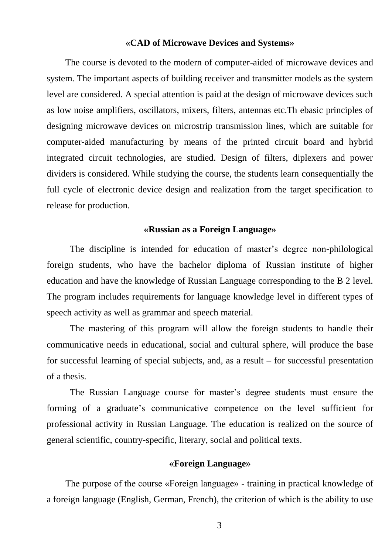#### **«CAD of Microwave Devices and Systems»**

The course is devoted to the modern of computer-aided of microwave devices and system. The important aspects of building receiver and transmitter models as the system level are considered. A special attention is paid at the design of microwave devices such as low noise amplifiers, oscillators, mixers, filters, antennas etc.Th ebasic principles of designing microwave devices on microstrip transmission lines, which are suitable for computer-aided manufacturing by means of the printed circuit board and hybrid integrated circuit technologies, are studied. Design of filters, diplexers and power dividers is considered. While studying the course, the students learn consequentially the full cycle of electronic device design and realization from the target specification to release for production.

## **«Russian as a Foreign Language»**

The discipline is intended for education of master's degree non-philological foreign students, who have the bachelor diploma of Russian institute of higher education and have the knowledge of Russian Language corresponding to the B 2 level. The program includes requirements for language knowledge level in different types of speech activity as well as grammar and speech material.

The mastering of this program will allow the foreign students to handle their communicative needs in educational, social and cultural sphere, will produce the base for successful learning of special subjects, and, as a result – for successful presentation of a thesis.

The Russian Language course for master's degree students must ensure the forming of a graduate's communicative competence on the level sufficient for professional activity in Russian Language. The education is realized on the source of general scientific, country-specific, literary, social and political texts.

# **«Foreign Language»**

The purpose of the course «Foreign language» - training in practical knowledge of a foreign language (English, German, French), the criterion of which is the ability to use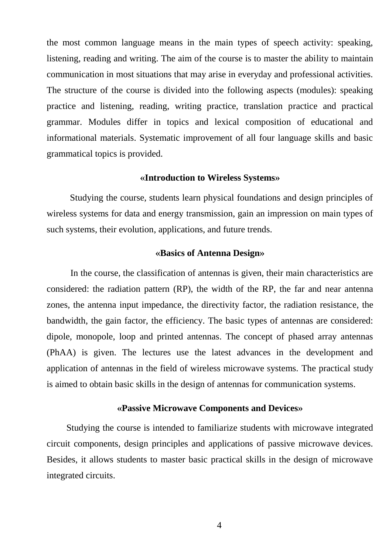the most common language means in the main types of speech activity: speaking, listening, reading and writing. The aim of the course is to master the ability to maintain communication in most situations that may arise in everyday and professional activities. The structure of the course is divided into the following aspects (modules): speaking practice and listening, reading, writing practice, translation practice and practical grammar. Modules differ in topics and lexical composition of educational and informational materials. Systematic improvement of all four language skills and basic grammatical topics is provided.

## **«Introduction to Wireless Systems»**

Studying the course, students learn physical foundations and design principles of wireless systems for data and energy transmission, gain an impression on main types of such systems, their evolution, applications, and future trends.

## **«Basics of Antenna Design»**

In the course, the classification of antennas is given, their main characteristics are considered: the radiation pattern (RP), the width of the RP, the far and near antenna zones, the antenna input impedance, the directivity factor, the radiation resistance, the bandwidth, the gain factor, the efficiency. The basic types of antennas are considered: dipole, monopole, loop and printed antennas. The concept of phased array antennas (PhAA) is given. The lectures use the latest advances in the development and application of antennas in the field of wireless microwave systems. The practical study is aimed to obtain basic skills in the design of antennas for communication systems.

# **«Passive Microwave Components and Devices»**

Studying the course is intended to familiarize students with microwave integrated circuit components, design principles and applications of passive microwave devices. Besides, it allows students to master basic practical skills in the design of microwave integrated circuits.

4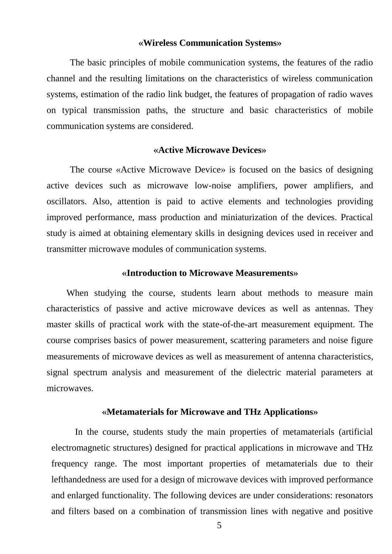#### **«Wireless Communication Systems»**

The basic principles of mobile communication systems, the features of the radio channel and the resulting limitations on the characteristics of wireless communication systems, estimation of the radio link budget, the features of propagation of radio waves on typical transmission paths, the structure and basic characteristics of mobile communication systems are considered.

## **«Active Microwave Devices»**

The course «Active Microwave Device» is focused on the basics of designing active devices such as microwave low-noise amplifiers, power amplifiers, and oscillators. Also, attention is paid to active elements and technologies providing improved performance, mass production and miniaturization of the devices. Practical study is aimed at obtaining elementary skills in designing devices used in receiver and transmitter microwave modules of communication systems.

## **«Introduction to Microwave Measurements»**

When studying the course, students learn about methods to measure main characteristics of passive and active microwave devices as well as antennas. They master skills of practical work with the state-of-the-art measurement equipment. The course comprises basics of power measurement, scattering parameters and noise figure measurements of microwave devices as well as measurement of antenna characteristics, signal spectrum analysis and measurement of the dielectric material parameters at microwaves.

#### **«Metamaterials for Microwave and THz Applications»**

In the course, students study the main properties of metamaterials (artificial electromagnetic structures) designed for practical applications in microwave and THz frequency range. The most important properties of metamaterials due to their lefthandedness are used for a design of microwave devices with improved performance and enlarged functionality. The following devices are under considerations: resonators and filters based on a combination of transmission lines with negative and positive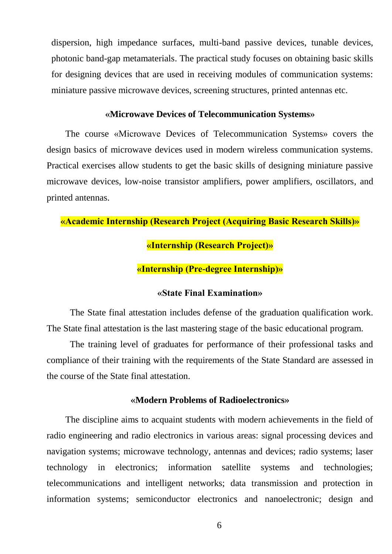dispersion, high impedance surfaces, multi-band passive devices, tunable devices, photonic band-gap metamaterials. The practical study focuses on obtaining basic skills for designing devices that are used in receiving modules of communication systems: miniature passive microwave devices, screening structures, printed antennas etc.

## **«Microwave Devices of Telecommunication Systems»**

The course «Microwave Devices of Telecommunication Systems» covers the design basics of microwave devices used in modern wireless communication systems. Practical exercises allow students to get the basic skills of designing miniature passive microwave devices, low-noise transistor amplifiers, power amplifiers, oscillators, and printed antennas.

# **«Academic Internship (Research Project (Acquiring Basic Research Skills)»**

# **«Internship (Research Project)»**

# **«Internship (Pre-degree Internship)»**

# **«State Final Examination»**

The State final attestation includes defense of the graduation qualification work. The State final attestation is the last mastering stage of the basic educational program.

The training level of graduates for performance of their professional tasks and compliance of their training with the requirements of the State Standard are assessed in the course of the State final attestation.

# **«Modern Problems of Radioelectronics»**

The discipline aims to acquaint students with modern achievements in the field of radio engineering and radio electronics in various areas: signal processing devices and navigation systems; microwave technology, antennas and devices; radio systems; laser technology in electronics; information satellite systems and technologies; telecommunications and intelligent networks; data transmission and protection in information systems; semiconductor electronics and nanoelectronic; design and